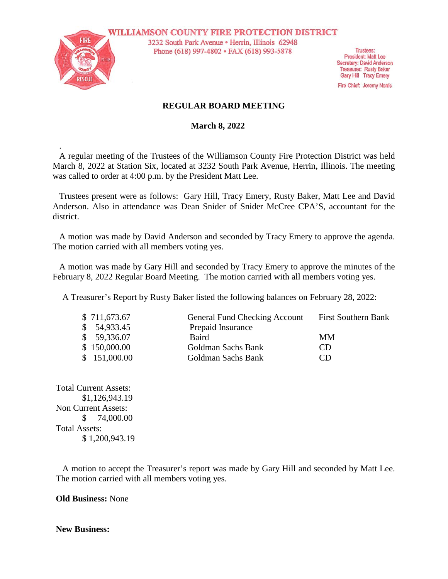

.

**WILLIAMSON COUNTY FIRE PROTECTION DISTRICT** 3232 South Park Avenue · Herrin, Illinois 62948 Phone (618) 997-4802 • FAX (618) 993-5878

**Trustees: President: Matt Lee** Secretary: David Anderson **Treasurer: Rusty Baker** Gary Hill Tracy Emery

Fire Chief: Jeremy Norris

### **REGULAR BOARD MEETING**

 **March 8, 2022**

A regular meeting of the Trustees of the Williamson County Fire Protection District was held March 8, 2022 at Station Six, located at 3232 South Park Avenue, Herrin, Illinois. The meeting was called to order at 4:00 p.m. by the President Matt Lee.

Trustees present were as follows: Gary Hill, Tracy Emery, Rusty Baker, Matt Lee and David Anderson. Also in attendance was Dean Snider of Snider McCree CPA'S, accountant for the district.

A motion was made by David Anderson and seconded by Tracy Emery to approve the agenda. The motion carried with all members voting yes.

A motion was made by Gary Hill and seconded by Tracy Emery to approve the minutes of the February 8, 2022 Regular Board Meeting. The motion carried with all members voting yes.

A Treasurer's Report by Rusty Baker listed the following balances on February 28, 2022:

| <b>First Southern Bank</b> |
|----------------------------|
|                            |
|                            |
|                            |
|                            |
|                            |

Total Current Assets: \$1,126,943.19 Non Current Assets: \$ 74,000.00 Total Assets: \$ 1,200,943.19

A motion to accept the Treasurer's report was made by Gary Hill and seconded by Matt Lee. The motion carried with all members voting yes.

**Old Business:** None

### **New Business:**